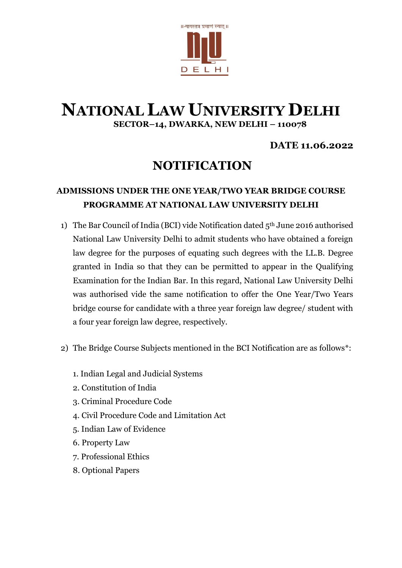

# **NATIONAL LAW UNIVERSITY DELHI SECTOR–14, DWARKA, NEW DELHI – 110078**

### **DATE 11.06.2022**

# **NOTIFICATION**

## **ADMISSIONS UNDER THE ONE YEAR/TWO YEAR BRIDGE COURSE PROGRAMME AT NATIONAL LAW UNIVERSITY DELHI**

- 1) The Bar Council of India (BCI) vide Notification dated 5th June 2016 authorised National Law University Delhi to admit students who have obtained a foreign law degree for the purposes of equating such degrees with the LL.B. Degree granted in India so that they can be permitted to appear in the Qualifying Examination for the Indian Bar. In this regard, National Law University Delhi was authorised vide the same notification to offer the One Year/Two Years bridge course for candidate with a three year foreign law degree/ student with a four year foreign law degree, respectively.
- 2) The Bridge Course Subjects mentioned in the BCI Notification are as follows\*:
	- 1. Indian Legal and Judicial Systems
	- 2. Constitution of India
	- 3. Criminal Procedure Code
	- 4. Civil Procedure Code and Limitation Act
	- 5. Indian Law of Evidence
	- 6. Property Law
	- 7. Professional Ethics
	- 8. Optional Papers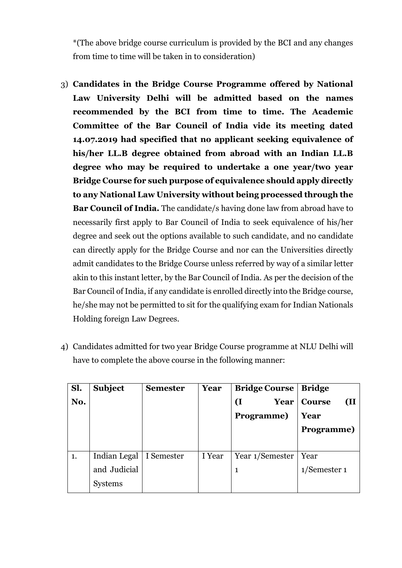\*(The above bridge course curriculum is provided by the BCI and any changes from time to time will be taken in to consideration)

- 3) **Candidates in the Bridge Course Programme offered by National Law University Delhi will be admitted based on the names recommended by the BCI from time to time. The Academic Committee of the Bar Council of India vide its meeting dated 14.07.2019 had specified that no applicant seeking equivalence of his/her LL.B degree obtained from abroad with an Indian LL.B degree who may be required to undertake a one year/two year Bridge Course for such purpose of equivalence should apply directly to any National Law University without being processed through the Bar Council of India.** The candidate/s having done law from abroad have to necessarily first apply to Bar Council of India to seek equivalence of his/her degree and seek out the options available to such candidate, and no candidate can directly apply for the Bridge Course and nor can the Universities directly admit candidates to the Bridge Course unless referred by way of a similar letter akin to this instant letter, by the Bar Council of India. As per the decision of the Bar Council of India, if any candidate is enrolled directly into the Bridge course, he/she may not be permitted to sit for the qualifying exam for Indian Nationals Holding foreign Law Degrees.
- 4) Candidates admitted for two year Bridge Course programme at NLU Delhi will have to complete the above course in the following manner:

| Sl. | <b>Subject</b> | <b>Semester</b> | Year   | <b>Bridge Course</b> | <b>Bridge</b>        |
|-----|----------------|-----------------|--------|----------------------|----------------------|
| No. |                |                 |        | <b>I</b><br>Year     | <b>Course</b><br>(II |
|     |                |                 |        | Programme)           | Year                 |
|     |                |                 |        |                      | Programme)           |
|     |                |                 |        |                      |                      |
| 1.  | Indian Legal   | I Semester      | I Year | Year 1/Semester      | Year                 |
|     | and Judicial   |                 |        | 1                    | $1$ /Semester 1      |
|     | <b>Systems</b> |                 |        |                      |                      |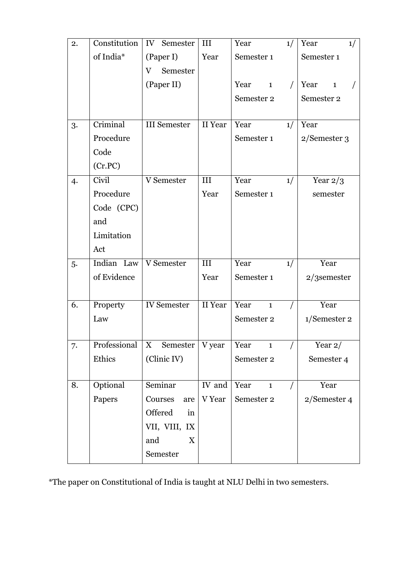| 2. | Constitution | IV Semester         | III     | Year                 | 1/ | Year<br>1/           |
|----|--------------|---------------------|---------|----------------------|----|----------------------|
|    | of India*    | (Paper I)           | Year    | Semester 1           |    | Semester 1           |
|    |              | Semester<br>V       |         |                      |    |                      |
|    |              | (Paper II)          |         | Year<br>$\mathbf{1}$ |    | Year<br>$\mathbf{1}$ |
|    |              |                     |         | Semester 2           |    | Semester 2           |
|    |              |                     |         |                      |    |                      |
| 3. | Criminal     | <b>III</b> Semester | II Year | Year                 | 1/ | Year                 |
|    | Procedure    |                     |         | Semester 1           |    | 2/Semester 3         |
|    | Code         |                     |         |                      |    |                      |
|    | (Cr.PC)      |                     |         |                      |    |                      |
| 4. | Civil        | V Semester          | III     | Year                 | 1/ | Year $2/3$           |
|    | Procedure    |                     | Year    | Semester 1           |    | semester             |
|    | Code (CPC)   |                     |         |                      |    |                      |
|    | and          |                     |         |                      |    |                      |
|    | Limitation   |                     |         |                      |    |                      |
|    | Act          |                     |         |                      |    |                      |
| 5. | Indian Law   | V Semester          | III     | Year                 | 1/ | Year                 |
|    | of Evidence  |                     | Year    | Semester 1           |    | $2/3$ semester       |
|    |              |                     |         |                      |    |                      |
| 6. | Property     | <b>IV</b> Semester  | II Year | Year<br>$\mathbf{1}$ |    | Year                 |
|    | Law          |                     |         | Semester 2           |    | 1/Semester 2         |
|    |              |                     |         |                      |    |                      |
| 7. | Professional | Semester<br>X       | V year  | Year<br>$\mathbf{1}$ |    | Year $2/$            |
|    | Ethics       | (Clinic IV)         |         | Semester 2           |    | Semester 4           |
|    |              |                     |         |                      |    |                      |
| 8. | Optional     | Seminar             | IV and  | Year<br>$\mathbf{1}$ |    | Year                 |
|    | Papers       | Courses<br>are      | V Year  | Semester 2           |    | 2/Semester 4         |
|    |              | Offered<br>in       |         |                      |    |                      |
|    |              | VII, VIII, IX       |         |                      |    |                      |
|    |              | and<br>X            |         |                      |    |                      |
|    |              | Semester            |         |                      |    |                      |

\*The paper on Constitutional of India is taught at NLU Delhi in two semesters.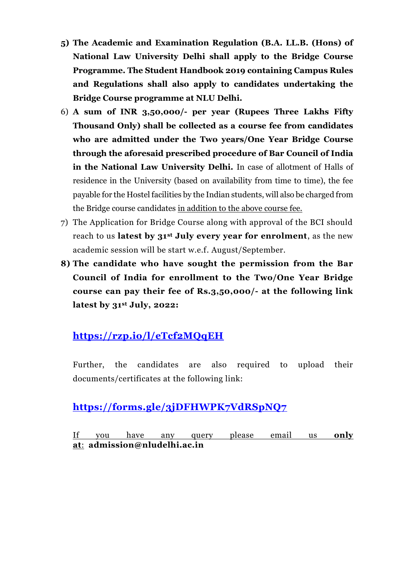- **5) The Academic and Examination Regulation (B.A. LL.B. (Hons) of National Law University Delhi shall apply to the Bridge Course Programme. The Student Handbook 2019 containing Campus Rules and Regulations shall also apply to candidates undertaking the Bridge Course programme at NLU Delhi.**
- 6) **A sum of INR 3,50,000/- per year (Rupees Three Lakhs Fifty Thousand Only) shall be collected as a course fee from candidates who are admitted under the Two years/One Year Bridge Course through the aforesaid prescribed procedure of Bar Council of India in the National Law University Delhi.** In case of allotment of Halls of residence in the University (based on availability from time to time), the fee payable for the Hostel facilities by the Indian students, will also be charged from the Bridge course candidates in addition to the above course fee.
- 7) The Application for Bridge Course along with approval of the BCI should reach to us **latest by 31st July every year for enrolment**, as the new academic session will be start w.e.f. August/September.
- **8) The candidate who have sought the permission from the Bar Council of India for enrollment to the Two/One Year Bridge course can pay their fee of Rs.3,50,000/- at the following link latest by 31st July, 2022:**

# **<https://rzp.io/l/eTcf2MQqEH>**

Further, the candidates are also required to upload their documents/certificates at the following link:

## **<https://forms.gle/3jDFHWPK7VdRSpNQ7>**

If you have any query please email us **only at**: **[admission@nludelhi.ac.in](mailto:admission@nludelhi.ac.in)**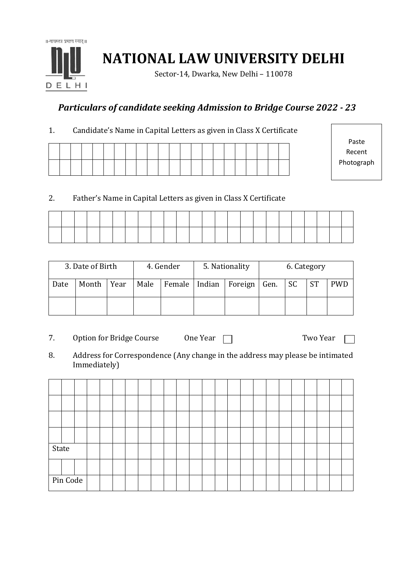

**NATIONAL LAW UNIVERSITY DELHI**

Sector-14, Dwarka, New Delhi – 110078

## *Particulars of candidate seeking Admission to Bridge Course 2022 - 23*

1. Candidate's Name in Capital Letters as given in Class X Certificate

Paste Recent Photograph

#### 2. Father's Name in Capital Letters as given in Class X Certificate

| 3. Date of Birth |       |      |      | 4. Gender | 5. Nationality                   | 6. Category |  |           |            |  |
|------------------|-------|------|------|-----------|----------------------------------|-------------|--|-----------|------------|--|
| Date             | Month | Year | Male |           | Female   Indian   Foreign   Gen. | <b>SC</b>   |  | <b>ST</b> | <b>PWD</b> |  |
|                  |       |      |      |           |                                  |             |  |           |            |  |

- 7. Option for Bridge Course One Year Two Year
- 8. Address for Correspondence (Any change in the address may please be intimated Immediately)

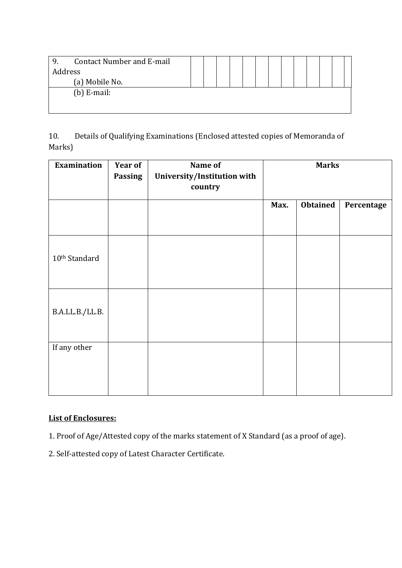| <b>Contact Number and E-mail</b><br>9. |  |  |  |  |  |  |  |
|----------------------------------------|--|--|--|--|--|--|--|
| Address                                |  |  |  |  |  |  |  |
| (a) Mobile No.                         |  |  |  |  |  |  |  |
| (b) $E$ -mail:                         |  |  |  |  |  |  |  |
|                                        |  |  |  |  |  |  |  |
|                                        |  |  |  |  |  |  |  |

10. Details of Qualifying Examinations (Enclosed attested copies of Memoranda of Marks)

| <b>Examination</b>        | <b>Year of</b><br><b>Passing</b> | Name of<br>University/Institution with<br>country |      | <b>Marks</b>    |            |
|---------------------------|----------------------------------|---------------------------------------------------|------|-----------------|------------|
|                           |                                  |                                                   | Max. | <b>Obtained</b> | Percentage |
|                           |                                  |                                                   |      |                 |            |
| 10 <sup>th</sup> Standard |                                  |                                                   |      |                 |            |
| B.A.LL.B./LL.B.           |                                  |                                                   |      |                 |            |
| If any other              |                                  |                                                   |      |                 |            |

### **List of Enclosures:**

- 1. Proof of Age/Attested copy of the marks statement of X Standard (as a proof of age).
- 2. Self-attested copy of Latest Character Certificate.